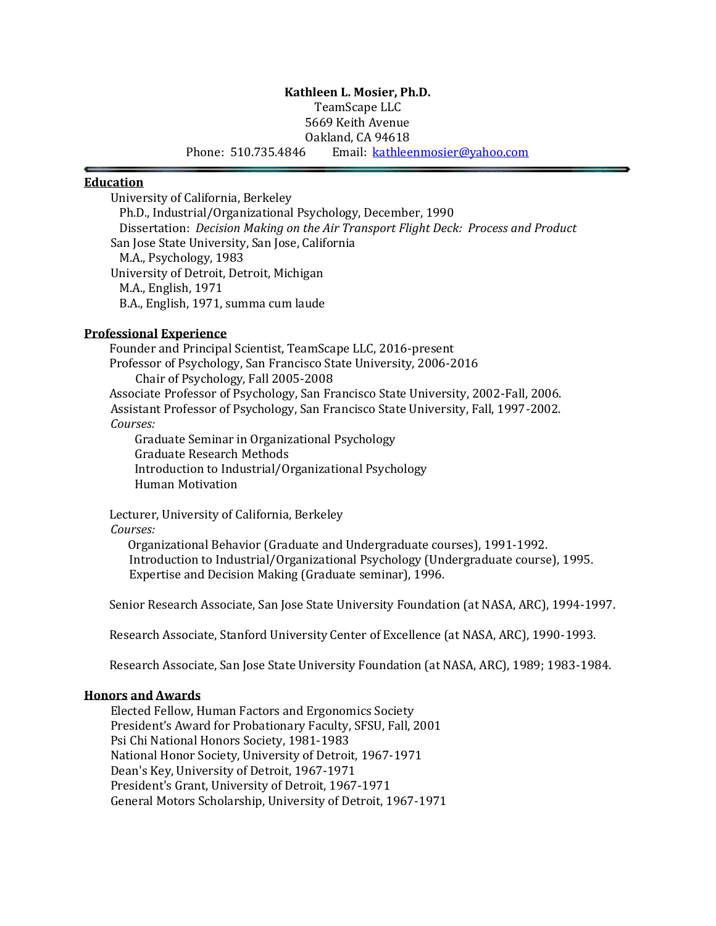# **Kathleen L. Mosier, Ph.D.**

TeamScape LLC

5669 Keith Avenue Oakland, CA 94618

Phone: 510.735.4846 Email: [kathleenmosier@yahoo.com](mailto:kmosier@sfsu.edu)

#### **Education**

University of California, Berkeley Ph.D., Industrial/Organizational Psychology, December, 1990 Dissertation: *Decision Making on the Air Transport Flight Deck: Process and Product* San Jose State University, San Jose, California M.A., Psychology, 1983 University of Detroit, Detroit, Michigan M.A., English, 1971 B.A., English, 1971, summa cum laude

#### **Professional Experience**

Founder and Principal Scientist, TeamScape LLC, 2016-present Professor of Psychology, San Francisco State University, 2006-2016 Chair of Psychology, Fall 2005-2008 Associate Professor of Psychology, San Francisco State University, 2002-Fall, 2006. Assistant Professor of Psychology, San Francisco State University, Fall, 1997-2002.

#### *Courses:*

Graduate Seminar in Organizational Psychology Graduate Research Methods Introduction to Industrial/Organizational Psychology Human Motivation

Lecturer, University of California, Berkeley

#### *Courses:*

 Organizational Behavior (Graduate and Undergraduate courses), 1991-1992. Introduction to Industrial/Organizational Psychology (Undergraduate course), 1995. Expertise and Decision Making (Graduate seminar), 1996.

Senior Research Associate, San Jose State University Foundation (at NASA, ARC), 1994-1997.

Research Associate, Stanford University Center of Excellence (at NASA, ARC), 1990-1993.

Research Associate, San Jose State University Foundation (at NASA, ARC), 1989; 1983-1984.

# **Honors and Awards**

Elected Fellow, Human Factors and Ergonomics Society President's Award for Probationary Faculty, SFSU, Fall, 2001 Psi Chi National Honors Society, 1981-1983 National Honor Society, University of Detroit, 1967-1971 Dean's Key, University of Detroit, 1967-1971 President's Grant, University of Detroit, 1967-1971 General Motors Scholarship, University of Detroit, 1967-1971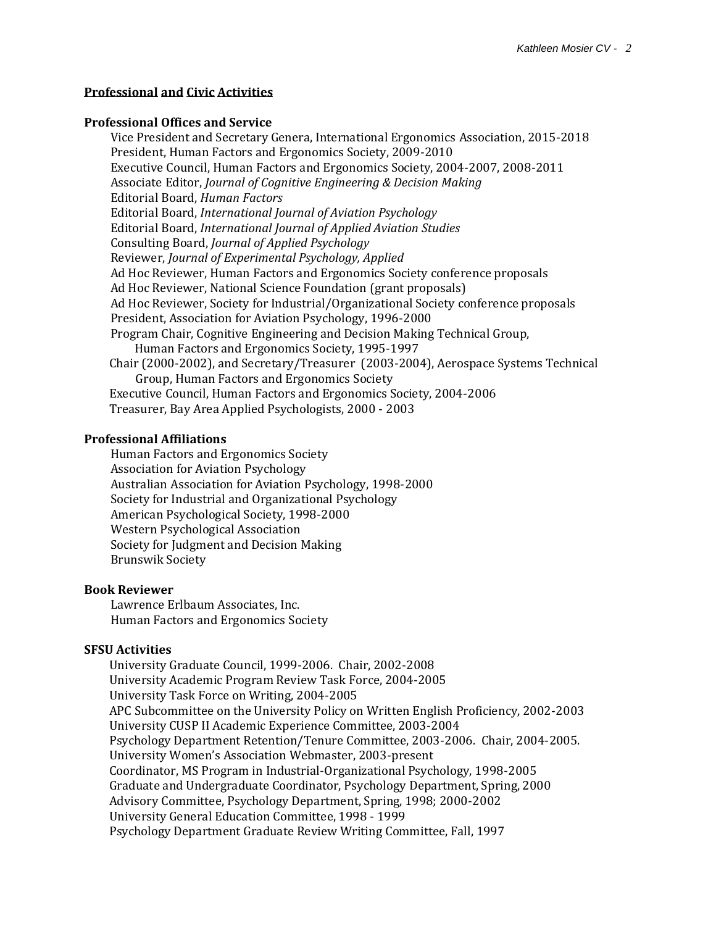#### **Professional and Civic Activities**

#### **Professional Offices and Service**

Vice President and Secretary Genera, International Ergonomics Association, 2015-2018 President, Human Factors and Ergonomics Society, 2009-2010 Executive Council, Human Factors and Ergonomics Society, 2004-2007, 2008-2011 Associate Editor, *Journal of Cognitive Engineering & Decision Making* Editorial Board, *Human Factors* Editorial Board, *International Journal of Aviation Psychology*  Editorial Board, *International Journal of Applied Aviation Studies* Consulting Board, *Journal of Applied Psychology* Reviewer, *Journal of Experimental Psychology, Applied* Ad Hoc Reviewer, Human Factors and Ergonomics Society conference proposals Ad Hoc Reviewer, National Science Foundation (grant proposals) Ad Hoc Reviewer, Society for Industrial/Organizational Society conference proposals President, Association for Aviation Psychology, 1996-2000 Program Chair, Cognitive Engineering and Decision Making Technical Group, Human Factors and Ergonomics Society, 1995-1997 Chair (2000-2002), and Secretary/Treasurer (2003-2004), Aerospace Systems Technical Group, Human Factors and Ergonomics Society Executive Council, Human Factors and Ergonomics Society, 2004-2006 Treasurer, Bay Area Applied Psychologists, 2000 - 2003

#### **Professional Affiliations**

Human Factors and Ergonomics Society Association for Aviation Psychology Australian Association for Aviation Psychology, 1998-2000 Society for Industrial and Organizational Psychology American Psychological Society, 1998-2000 Western Psychological Association Society for Judgment and Decision Making Brunswik Society

#### **Book Reviewer**

Lawrence Erlbaum Associates, Inc. Human Factors and Ergonomics Society

#### **SFSU Activities**

University Graduate Council, 1999-2006. Chair, 2002-2008 University Academic Program Review Task Force, 2004-2005 University Task Force on Writing, 2004-2005 APC Subcommittee on the University Policy on Written English Proficiency, 2002-2003 University CUSP II Academic Experience Committee, 2003-2004 Psychology Department Retention/Tenure Committee, 2003-2006. Chair, 2004-2005. University Women's Association Webmaster, 2003-present Coordinator, MS Program in Industrial-Organizational Psychology, 1998-2005 Graduate and Undergraduate Coordinator, Psychology Department, Spring, 2000 Advisory Committee, Psychology Department, Spring, 1998; 2000-2002 University General Education Committee, 1998 - 1999 Psychology Department Graduate Review Writing Committee, Fall, 1997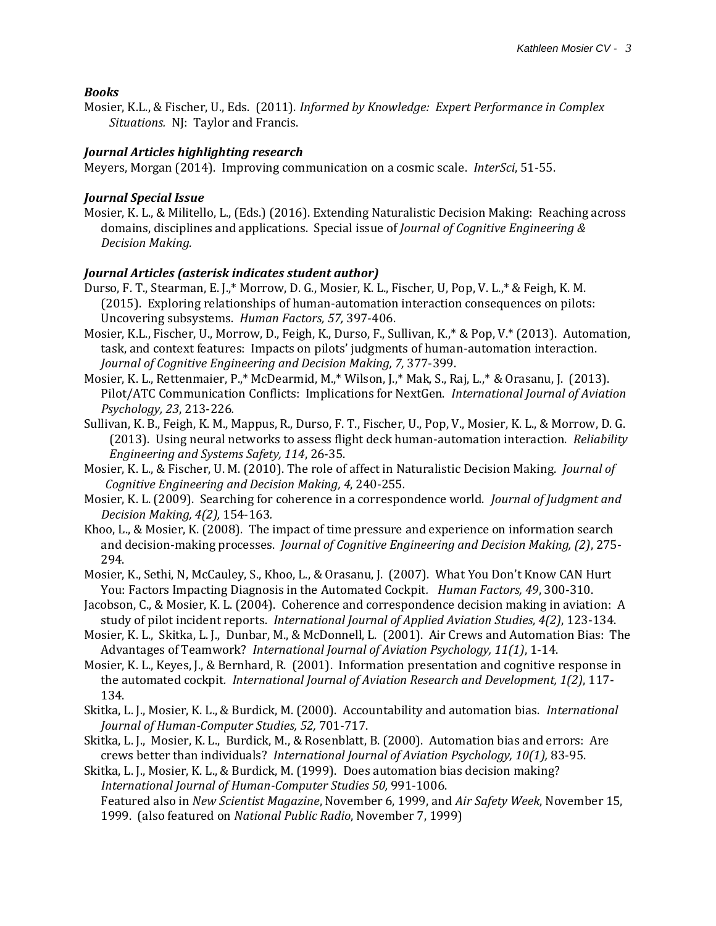#### *Books*

Mosier, K.L., & Fischer, U., Eds. (2011). *Informed by Knowledge: Expert Performance in Complex Situations.* NJ: Taylor and Francis.

#### *Journal Articles highlighting research*

Meyers, Morgan (2014). Improving communication on a cosmic scale. *InterSci*, 51-55.

#### *Journal Special Issue*

Mosier, K. L., & Militello, L., (Eds.) (2016). Extending Naturalistic Decision Making: Reaching across domains, disciplines and applications. Special issue of *Journal of Cognitive Engineering & Decision Making.*

# *Journal Articles (asterisk indicates student author)*

- Durso, F. T., Stearman, E. J.,\* Morrow, D. G., Mosier, K. L., Fischer, U, Pop, V. L.,\* & Feigh, K. M. (2015). Exploring relationships of human-automation interaction consequences on pilots: Uncovering subsystems. *Human Factors, 57,* 397-406.
- Mosier, K.L., Fischer, U., Morrow, D., Feigh, K., Durso, F., Sullivan, K.,\* & Pop, V.\* (2013). Automation, task, and context features: Impacts on pilots' judgments of human-automation interaction. *Journal of Cognitive Engineering and Decision Making, 7,* 377-399.
- Mosier, K. L., Rettenmaier, P.,\* McDearmid, M.,\* Wilson, J.,\* Mak, S., Raj, L.,\* & Orasanu, J. (2013). Pilot/ATC Communication Conflicts: Implications for NextGen. *International Journal of Aviation Psychology, 23*, 213-226*.*
- Sullivan, K. B., Feigh, K. M., Mappus, R., Durso, F. T., Fischer, U., Pop, V., Mosier, K. L., & Morrow, D. G. (2013). Using neural networks to assess flight deck human-automation interaction. *Reliability Engineering and Systems Safety, 114*, 26-35.
- Mosier, K. L., & Fischer, U. M. (2010). The role of affect in Naturalistic Decision Making. *Journal of Cognitive Engineering and Decision Making, 4*, 240-255*.*
- Mosier, K. L. (2009). Searching for coherence in a correspondence world. *Journal of Judgment and Decision Making, 4(2),* 154-163*.*
- Khoo, L., & Mosier, K. (2008). The impact of time pressure and experience on information search and decision-making processes. *Journal of Cognitive Engineering and Decision Making, (2)*, 275- 294.
- Mosier, K., Sethi, N, McCauley, S., Khoo, L., & Orasanu, J. (2007). What You Don't Know CAN Hurt You: Factors Impacting Diagnosis in the Automated Cockpit*. Human Factors, 49*, 300-310.
- Jacobson, C., & Mosier, K. L. (2004). Coherence and correspondence decision making in aviation: A study of pilot incident reports. *International Journal of Applied Aviation Studies, 4(2)*, 123-134.
- Mosier, K. L., Skitka, L. J., Dunbar, M., & McDonnell, L. (2001). Air Crews and Automation Bias: The Advantages of Teamwork? *International Journal of Aviation Psychology, 11(1)*, 1-14.
- Mosier, K. L., Keyes, J., & Bernhard, R. (2001). Information presentation and cognitive response in the automated cockpit*. International Journal of Aviation Research and Development, 1(2)*, 117- 134.
- Skitka, L. J., Mosier, K. L., & Burdick, M. (2000). Accountability and automation bias. *International Journal of Human-Computer Studies, 52,* 701-717.
- Skitka, L. J., Mosier, K. L., Burdick, M., & Rosenblatt, B. (2000). Automation bias and errors: Are crews better than individuals? *International Journal of Aviation Psychology, 10(1),* 83-95.
- Skitka, L. J., Mosier, K. L., & Burdick, M. (1999). Does automation bias decision making? *International Journal of Human-Computer Studies 50,* 991-1006. Featured also in *New Scientist Magazine*, November 6, 1999, and *Air Safety Week*, November 15, 1999. (also featured on *National Public Radio*, November 7, 1999)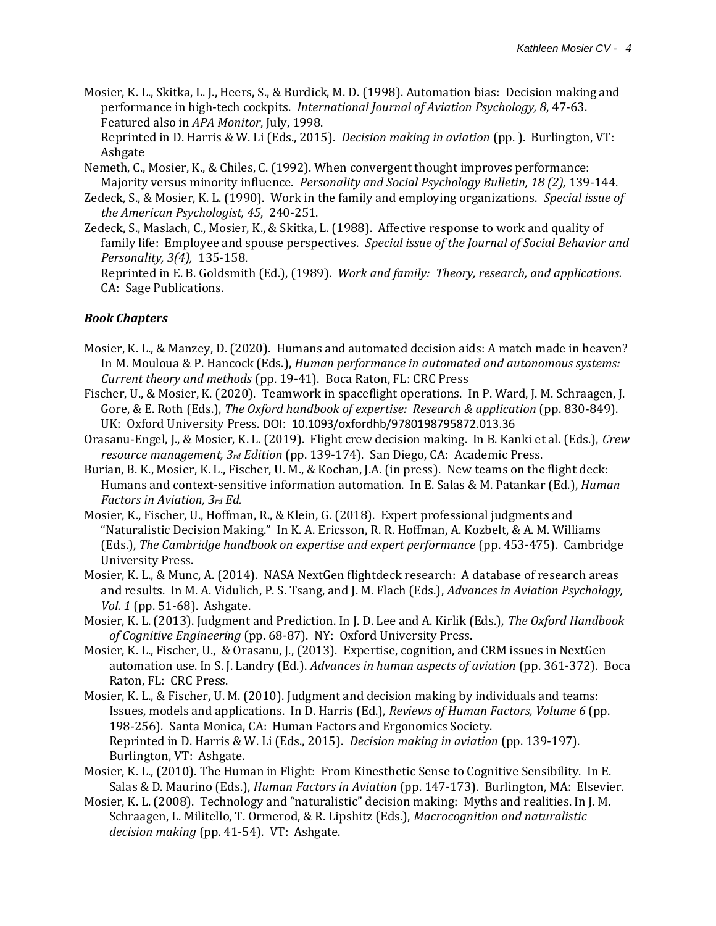Mosier, K. L., Skitka, L. J., Heers, S., & Burdick, M. D. (1998). Automation bias: Decision making and performance in high-tech cockpits. *International Journal of Aviation Psychology, 8*, 47-63. Featured also in *APA Monitor*, July, 1998.

Reprinted in D. Harris & W. Li (Eds., 2015). *Decision making in aviation* (pp. ). Burlington, VT: Ashgate

- Nemeth, C., Mosier, K., & Chiles, C. (1992). When convergent thought improves performance: Majority versus minority influence. *Personality and Social Psychology Bulletin, 18 (2),* 139-144.
- Zedeck, S., & Mosier, K. L. (1990). Work in the family and employing organizations. *Special issue of the American Psychologist, 45*, 240-251.
- Zedeck, S., Maslach, C., Mosier, K., & Skitka, L. (1988). Affective response to work and quality of family life: Employee and spouse perspectives. *Special issue of the Journal of Social Behavior and Personality, 3(4),* 135-158.

Reprinted in E. B. Goldsmith (Ed.), (1989). *Work and family: Theory, research, and applications.* CA: Sage Publications.

# *Book Chapters*

- Mosier, K. L., & Manzey, D. (2020). Humans and automated decision aids: A match made in heaven? In M. Mouloua & P. Hancock (Eds.), *Human performance in automated and autonomous systems: Current theory and methods* (pp. 19-41). Boca Raton, FL: CRC Press
- Fischer, U., & Mosier, K. (2020). Teamwork in spaceflight operations. In P. Ward, J. M. Schraagen, J. Gore, & E. Roth (Eds.), *The Oxford handbook of expertise: Research & application* (pp. 830-849). UK: Oxford University Press. DOI: 10.1093/oxfordhb/9780198795872.013.36
- Orasanu-Engel, J., & Mosier, K. L. (2019). Flight crew decision making. In B. Kanki et al. (Eds.), *Crew resource management, 3rd Edition* (pp. 139-174). San Diego, CA: Academic Press.
- Burian, B. K., Mosier, K. L., Fischer, U. M., & Kochan, J.A. (in press). New teams on the flight deck: Humans and context-sensitive information automation. In E. Salas & M. Patankar (Ed.), *Human Factors in Aviation, 3rd Ed.*
- Mosier, K., Fischer, U., Hoffman, R., & Klein, G. (2018). Expert professional judgments and "Naturalistic Decision Making." In K. A. Ericsson, R. R. Hoffman, A. Kozbelt, & A. M. Williams (Eds.), *The Cambridge handbook on expertise and expert performance* (pp. 453-475). Cambridge University Press.
- Mosier, K. L., & Munc, A. (2014). NASA NextGen flightdeck research: A database of research areas and results. In M. A. Vidulich, P. S. Tsang, and J. M. Flach (Eds.), *Advances in Aviation Psychology, Vol. 1* (pp. 51-68). Ashgate.
- Mosier, K. L. (2013). Judgment and Prediction. In J. D. Lee and A. Kirlik (Eds.), *The Oxford Handbook of Cognitive Engineering* (pp. 68-87). NY: Oxford University Press.
- Mosier, K. L., Fischer, U., & Orasanu, J., (2013). Expertise, cognition, and CRM issues in NextGen automation use. In S. J. Landry (Ed.). *Advances in human aspects of aviation* (pp. 361-372). Boca Raton, FL: CRC Press.
- Mosier, K. L., & Fischer, U. M. (2010). Judgment and decision making by individuals and teams: Issues, models and applications. In D. Harris (Ed.), *Reviews of Human Factors, Volume 6* (pp. 198-256)*.* Santa Monica, CA: Human Factors and Ergonomics Society. Reprinted in D. Harris & W. Li (Eds., 2015). *Decision making in aviation* (pp. 139-197). Burlington, VT: Ashgate.
- Mosier, K. L., (2010). The Human in Flight: From Kinesthetic Sense to Cognitive Sensibility. In E. Salas & D. Maurino (Eds.), *Human Factors in Aviation* (pp. 147-173). Burlington, MA: Elsevier.
- Mosier, K. L. (2008). Technology and "naturalistic" decision making: Myths and realities. In J. M. Schraagen, L. Militello, T. Ormerod, & R. Lipshitz (Eds.), *Macrocognition and naturalistic decision making* (pp. 41-54). VT: Ashgate.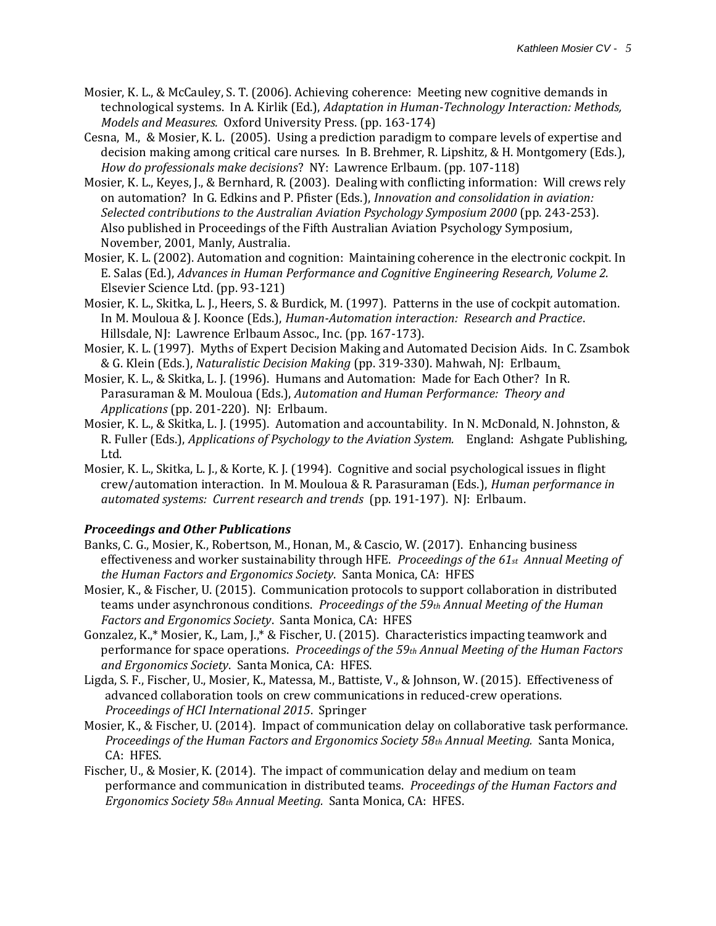- Mosier, K. L., & McCauley, S. T. (2006). Achieving coherence: Meeting new cognitive demands in technological systems. In A. Kirlik (Ed.), *Adaptation in Human-Technology Interaction: Methods, Models and Measures.* Oxford University Press. (pp. 163-174)
- Cesna, M., & Mosier, K. L. (2005). Using a prediction paradigm to compare levels of expertise and decision making among critical care nurses. In B. Brehmer, R. Lipshitz, & H. Montgomery (Eds.), *How do professionals make decisions*? NY: Lawrence Erlbaum. (pp. 107-118)
- Mosier, K. L., Keyes, J., & Bernhard, R. (2003). Dealing with conflicting information: Will crews rely on automation? In G. Edkins and P. Pfister (Eds.), *Innovation and consolidation in aviation: Selected contributions to the Australian Aviation Psychology Symposium 2000* (pp. 243-253). Also published in Proceedings of the Fifth Australian Aviation Psychology Symposium, November, 2001, Manly, Australia.
- Mosier, K. L. (2002). Automation and cognition: Maintaining coherence in the electronic cockpit. In E. Salas (Ed.), *Advances in Human Performance and Cognitive Engineering Research, Volume 2.*  Elsevier Science Ltd. (pp. 93-121)
- Mosier, K. L., Skitka, L. J., Heers, S. & Burdick, M. (1997). Patterns in the use of cockpit automation. In M. Mouloua & J. Koonce (Eds.), *Human-Automation interaction: Research and Practice*. Hillsdale, NJ: Lawrence Erlbaum Assoc., Inc. (pp. 167-173).
- Mosier, K. L. (1997). Myths of Expert Decision Making and Automated Decision Aids. In C. Zsambok & G. Klein (Eds.), *Naturalistic Decision Making* (pp. 319-330). Mahwah, NJ: Erlbaum.
- Mosier, K. L., & Skitka, L. J. (1996). Humans and Automation: Made for Each Other? In R. Parasuraman & M. Mouloua (Eds.), *Automation and Human Performance: Theory and Applications* (pp. 201-220). NJ: Erlbaum.
- Mosier, K. L., & Skitka, L. J. (1995). Automation and accountability. In N. McDonald, N. Johnston, & R. Fuller (Eds.), *Applications of Psychology to the Aviation System.* England: Ashgate Publishing, Ltd.
- Mosier, K. L., Skitka, L. J., & Korte, K. J. (1994). Cognitive and social psychological issues in flight crew/automation interaction. In M. Mouloua & R. Parasuraman (Eds.), *Human performance in automated systems: Current research and trends* (pp. 191-197). NJ: Erlbaum.

# *Proceedings and Other Publications*

- Banks, C. G., Mosier, K., Robertson, M., Honan, M., & Cascio, W. (2017). Enhancing business effectiveness and worker sustainability through HFE. *Proceedings of the 61st Annual Meeting of the Human Factors and Ergonomics Society*. Santa Monica, CA: HFES
- Mosier, K., & Fischer, U. (2015). Communication protocols to support collaboration in distributed teams under asynchronous conditions. *Proceedings of the 59th Annual Meeting of the Human Factors and Ergonomics Society*. Santa Monica, CA: HFES
- Gonzalez, K.,\* Mosier, K., Lam, J.,\* & Fischer, U. (2015). Characteristics impacting teamwork and performance for space operations. *Proceedings of the 59th Annual Meeting of the Human Factors and Ergonomics Society*. Santa Monica, CA: HFES.
- Ligda, S. F., Fischer, U., Mosier, K., Matessa, M., Battiste, V., & Johnson, W. (2015). Effectiveness of advanced collaboration tools on crew communications in reduced-crew operations. *Proceedings of HCI International 2015*. Springer
- Mosier, K., & Fischer, U. (2014). Impact of communication delay on collaborative task performance. *Proceedings of the Human Factors and Ergonomics Society 58th Annual Meeting.* Santa Monica, CA: HFES.
- Fischer, U., & Mosier, K. (2014). The impact of communication delay and medium on team performance and communication in distributed teams. *Proceedings of the Human Factors and Ergonomics Society 58th Annual Meeting.* Santa Monica, CA: HFES.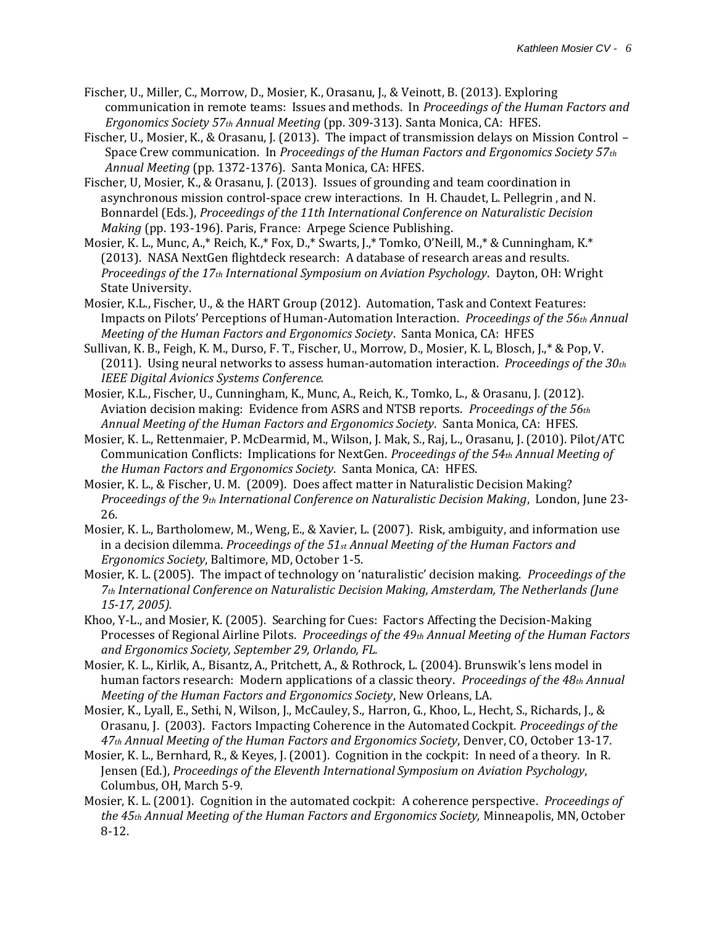- Fischer, U., Miller, C., Morrow, D., Mosier, K., Orasanu, J., & Veinott, B. (2013). Exploring communication in remote teams: Issues and methods. In *Proceedings of the Human Factors and Ergonomics Society 57th Annual Meeting* (pp. 309-313). Santa Monica, CA: HFES.
- Fischer, U., Mosier, K., & Orasanu, J. (2013). The impact of transmission delays on Mission Control Space Crew communication. In *Proceedings of the Human Factors and Ergonomics Society 57th Annual Meeting* (pp*.* 1372-1376). Santa Monica, CA: HFES.
- Fischer, U, Mosier, K., & Orasanu, J. (2013). Issues of grounding and team coordination in asynchronous mission control-space crew interactions. In H. Chaudet, L. Pellegrin , and N. Bonnardel (Eds.), *Proceedings of the 11th International Conference on Naturalistic Decision Making* (pp. 193-196). Paris, France: Arpege Science Publishing.
- Mosier, K. L., Munc, A.,\* Reich, K.,\* Fox, D.,\* Swarts, J.,\* Tomko, O'Neill, M.,\* & Cunningham, K.\* (2013). NASA NextGen flightdeck research: A database of research areas and results. *Proceedings of the 17th International Symposium on Aviation Psychology*. Dayton, OH: Wright State University.
- Mosier, K.L., Fischer, U., & the HART Group (2012). Automation, Task and Context Features: Impacts on Pilots' Perceptions of Human-Automation Interaction. *Proceedings of the 56th Annual Meeting of the Human Factors and Ergonomics Society*. Santa Monica, CA: HFES
- Sullivan, K. B., Feigh, K. M., Durso, F. T., Fischer, U., Morrow, D., Mosier, K. L, Blosch, J.,\* & Pop, V. (2011). Using neural networks to assess human-automation interaction. *Proceedings of the 30th IEEE Digital Avionics Systems Conference.*
- Mosier, K.L., Fischer, U., Cunningham, K., Munc, A., Reich, K., Tomko, L., & Orasanu, J. (2012). Aviation decision making: Evidence from ASRS and NTSB reports. *Proceedings of the 56th Annual Meeting of the Human Factors and Ergonomics Society*. Santa Monica, CA: HFES.
- Mosier, K. L., Rettenmaier, P. McDearmid, M., Wilson, J. Mak, S., Raj, L., Orasanu, J. (2010). Pilot/ATC Communication Conflicts: Implications for NextGen. *Proceedings of the 54th Annual Meeting of the Human Factors and Ergonomics Society*. Santa Monica, CA: HFES.
- Mosier, K. L., & Fischer, U. M. (2009). Does affect matter in Naturalistic Decision Making? *Proceedings of the 9th International Conference on Naturalistic Decision Making*, London, June 23- 26.
- Mosier, K. L., Bartholomew, M., Weng, E., & Xavier, L. (2007). Risk, ambiguity, and information use in a decision dilemma. *Proceedings of the 51st Annual Meeting of the Human Factors and Ergonomics Society*, Baltimore, MD, October 1-5.
- Mosier, K. L. (2005). The impact of technology on 'naturalistic' decision making. *Proceedings of the 7th International Conference on Naturalistic Decision Making, Amsterdam, The Netherlands (June 15-17, 2005).*
- Khoo, Y-L., and Mosier, K. (2005). Searching for Cues: Factors Affecting the Decision-Making Processes of Regional Airline Pilots. *Proceedings of the 49th Annual Meeting of the Human Factors and Ergonomics Society, September 29, Orlando, FL.*
- Mosier, K. L., Kirlik, A., Bisantz, A., Pritchett, A., & Rothrock, L. (2004). Brunswik's lens model in human factors research: Modern applications of a classic theory. *Proceedings of the 48th Annual Meeting of the Human Factors and Ergonomics Society*, New Orleans, LA.
- Mosier, K., Lyall, E., Sethi, N, Wilson, J., McCauley, S., Harron, G., Khoo, L., Hecht, S., Richards, J., & Orasanu, J. (2003). Factors Impacting Coherence in the Automated Cockpit. *Proceedings of the 47th Annual Meeting of the Human Factors and Ergonomics Society*, Denver, CO, October 13-17.
- Mosier, K. L., Bernhard, R., & Keyes, J. (2001). Cognition in the cockpit: In need of a theory. In R. Jensen (Ed.), *Proceedings of the Eleventh International Symposium on Aviation Psychology*, Columbus, OH, March 5-9.
- Mosier, K. L. (2001). Cognition in the automated cockpit: A coherence perspective. *Proceedings of the 45th Annual Meeting of the Human Factors and Ergonomics Society,* Minneapolis, MN, October 8-12.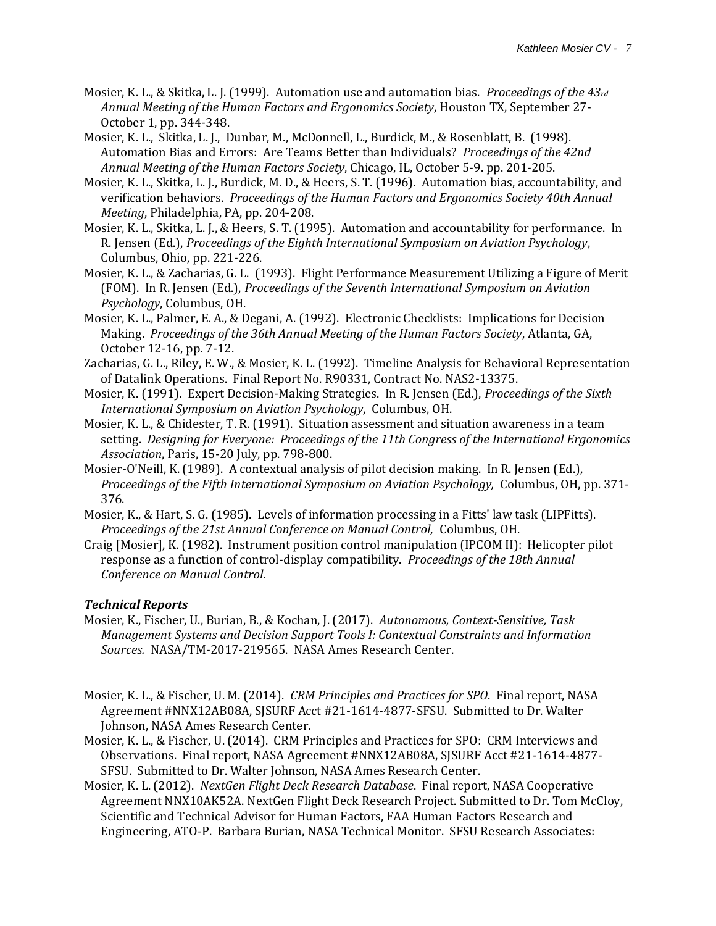- Mosier, K. L., & Skitka, L. J. (1999). Automation use and automation bias. *Proceedings of the 43rd Annual Meeting of the Human Factors and Ergonomics Society*, Houston TX, September 27- October 1, pp. 344-348.
- Mosier, K. L., Skitka, L. J., Dunbar, M., McDonnell, L., Burdick, M., & Rosenblatt, B. (1998). Automation Bias and Errors: Are Teams Better than Individuals? *Proceedings of the 42nd Annual Meeting of the Human Factors Society*, Chicago, IL, October 5-9. pp. 201-205.
- Mosier, K. L., Skitka, L. J., Burdick, M. D., & Heers, S. T. (1996). Automation bias, accountability, and verification behaviors. *Proceedings of the Human Factors and Ergonomics Society 40th Annual Meeting*, Philadelphia, PA, pp. 204-208.
- Mosier, K. L., Skitka, L. J., & Heers, S. T. (1995). Automation and accountability for performance. In R. Jensen (Ed.), *Proceedings of the Eighth International Symposium on Aviation Psychology*, Columbus, Ohio, pp. 221-226.
- Mosier, K. L., & Zacharias, G. L. (1993). Flight Performance Measurement Utilizing a Figure of Merit (FOM). In R. Jensen (Ed.), *Proceedings of the Seventh International Symposium on Aviation Psychology*, Columbus, OH.
- Mosier, K. L., Palmer, E. A., & Degani, A. (1992). Electronic Checklists: Implications for Decision Making. *Proceedings of the 36th Annual Meeting of the Human Factors Society*, Atlanta, GA, October 12-16, pp. 7-12.
- Zacharias, G. L., Riley, E. W., & Mosier, K. L. (1992). Timeline Analysis for Behavioral Representation of Datalink Operations. Final Report No. R90331, Contract No. NAS2-13375.
- Mosier, K. (1991). Expert Decision-Making Strategies. In R. Jensen (Ed.), *Proceedings of the Sixth International Symposium on Aviation Psychology*, Columbus, OH.
- Mosier, K. L., & Chidester, T. R. (1991). Situation assessment and situation awareness in a team setting. *Designing for Everyone: Proceedings of the 11th Congress of the International Ergonomics Association*, Paris, 15-20 July, pp. 798-800.
- Mosier-O'Neill, K. (1989). A contextual analysis of pilot decision making. In R. Jensen (Ed.), *Proceedings of the Fifth International Symposium on Aviation Psychology,* Columbus, OH, pp. 371- 376.
- Mosier, K., & Hart, S. G. (1985). Levels of information processing in a Fitts' law task (LIPFitts). *Proceedings of the 21st Annual Conference on Manual Control,* Columbus, OH.
- Craig [Mosier], K. (1982). Instrument position control manipulation (IPCOM II): Helicopter pilot response as a function of control-display compatibility. *Proceedings of the 18th Annual Conference on Manual Control.*

# *Technical Reports*

- Mosier, K., Fischer, U., Burian, B., & Kochan, J. (2017). *Autonomous, Context-Sensitive, Task Management Systems and Decision Support Tools I: Contextual Constraints and Information Sources.* NASA/TM-2017-219565. NASA Ames Research Center.
- Mosier, K. L., & Fischer, U. M. (2014). *CRM Principles and Practices for SPO*. Final report, NASA Agreement #NNX12AB08A, SJSURF Acct #21-1614-4877-SFSU. Submitted to Dr. Walter Johnson, NASA Ames Research Center.
- Mosier, K. L., & Fischer, U. (2014). CRM Principles and Practices for SPO: CRM Interviews and Observations. Final report, NASA Agreement #NNX12AB08A, SJSURF Acct #21-1614-4877- SFSU. Submitted to Dr. Walter Johnson, NASA Ames Research Center.
- Mosier, K. L. (2012). *NextGen Flight Deck Research Database*. Final report, NASA Cooperative Agreement NNX10AK52A. NextGen Flight Deck Research Project. Submitted to Dr. Tom McCloy, Scientific and Technical Advisor for Human Factors, FAA Human Factors Research and Engineering, ATO-P. Barbara Burian, NASA Technical Monitor. SFSU Research Associates: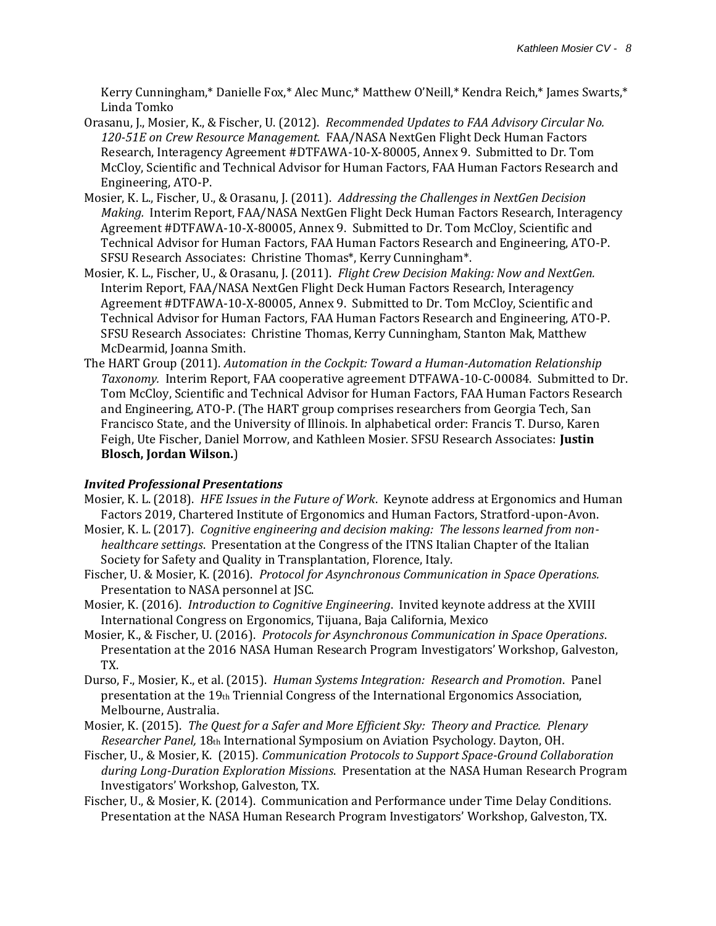Kerry Cunningham,\* Danielle Fox,\* Alec Munc,\* Matthew O'Neill,\* Kendra Reich,\* James Swarts,\* Linda Tomko

- Orasanu, J., Mosier, K., & Fischer, U. (2012). *Recommended Updates to FAA Advisory Circular No. 120-51E on Crew Resource Management.* FAA/NASA NextGen Flight Deck Human Factors Research, Interagency Agreement #DTFAWA-10-X-80005, Annex 9. Submitted to Dr. Tom McCloy, Scientific and Technical Advisor for Human Factors, FAA Human Factors Research and Engineering, ATO-P.
- Mosier, K. L., Fischer, U., & Orasanu, J. (2011). *Addressing the Challenges in NextGen Decision Making.* Interim Report, FAA/NASA NextGen Flight Deck Human Factors Research, Interagency Agreement #DTFAWA-10-X-80005, Annex 9. Submitted to Dr. Tom McCloy, Scientific and Technical Advisor for Human Factors, FAA Human Factors Research and Engineering, ATO-P. SFSU Research Associates: Christine Thomas\*, Kerry Cunningham\*.
- Mosier, K. L., Fischer, U., & Orasanu, J. (2011). *Flight Crew Decision Making: Now and NextGen.* Interim Report, FAA/NASA NextGen Flight Deck Human Factors Research, Interagency Agreement #DTFAWA-10-X-80005, Annex 9. Submitted to Dr. Tom McCloy, Scientific and Technical Advisor for Human Factors, FAA Human Factors Research and Engineering, ATO-P. SFSU Research Associates: Christine Thomas, Kerry Cunningham, Stanton Mak, Matthew McDearmid, Joanna Smith.
- The HART Group (2011). *Automation in the Cockpit: Toward a Human-Automation Relationship Taxonomy.* Interim Report, FAA cooperative agreement DTFAWA-10-C-00084. Submitted to Dr. Tom McCloy, Scientific and Technical Advisor for Human Factors, FAA Human Factors Research and Engineering, ATO-P. (The HART group comprises researchers from Georgia Tech, San Francisco State, and the University of Illinois. In alphabetical order: Francis T. Durso, Karen Feigh, Ute Fischer, Daniel Morrow, and Kathleen Mosier. SFSU Research Associates: **Justin Blosch, Jordan Wilson.**)

# *Invited Professional Presentations*

- Mosier, K. L. (2018). *HFE Issues in the Future of Work*. Keynote address at Ergonomics and Human Factors 2019, Chartered Institute of Ergonomics and Human Factors, Stratford-upon-Avon.
- Mosier, K. L. (2017). *Cognitive engineering and decision making: The lessons learned from nonhealthcare settings*. Presentation at the Congress of the ITNS Italian Chapter of the Italian Society for Safety and Quality in Transplantation, Florence, Italy.
- Fischer, U. & Mosier, K. (2016). *Protocol for Asynchronous Communication in Space Operations.*  Presentation to NASA personnel at JSC.
- Mosier, K. (2016). *Introduction to Cognitive Engineering*. Invited keynote address at the XVIII International Congress on Ergonomics, Tijuana, Baja California, Mexico
- Mosier, K., & Fischer, U. (2016). *Protocols for Asynchronous Communication in Space Operations*. Presentation at the 2016 NASA Human Research Program Investigators' Workshop, Galveston, TX.
- Durso, F., Mosier, K., et al. (2015). *Human Systems Integration: Research and Promotion*. Panel presentation at the 19th Triennial Congress of the International Ergonomics Association, Melbourne, Australia.
- Mosier, K. (2015). *The Quest for a Safer and More Efficient Sky: Theory and Practice. Plenary Researcher Panel,* 18th International Symposium on Aviation Psychology. Dayton, OH.
- Fischer, U., & Mosier, K. (2015). *Communication Protocols to Support Space-Ground Collaboration during Long-Duration Exploration Missions*. Presentation at the NASA Human Research Program Investigators' Workshop, Galveston, TX.
- Fischer, U., & Mosier, K. (2014). Communication and Performance under Time Delay Conditions. Presentation at the NASA Human Research Program Investigators' Workshop, Galveston, TX.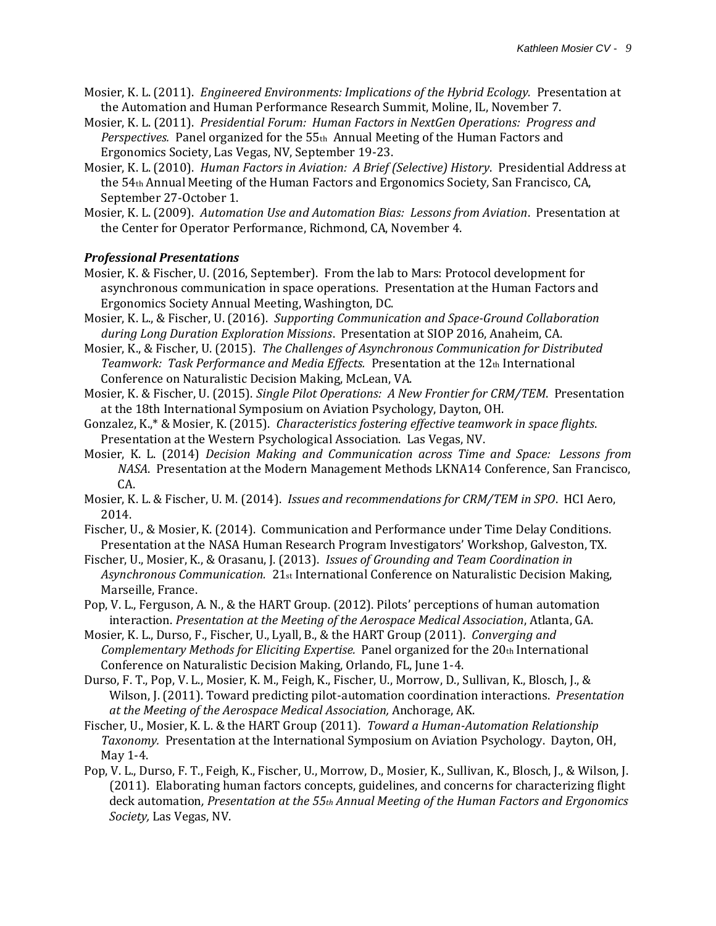- Mosier, K. L. (2011). *Engineered Environments: Implications of the Hybrid Ecology.* Presentation at the Automation and Human Performance Research Summit, Moline, IL, November 7.
- Mosier, K. L. (2011). *Presidential Forum: Human Factors in NextGen Operations: Progress and Perspectives.* Panel organized for the 55th Annual Meeting of the Human Factors and Ergonomics Society, Las Vegas, NV, September 19-23.
- Mosier, K. L. (2010). *Human Factors in Aviation: A Brief (Selective) History*. Presidential Address at the 54th Annual Meeting of the Human Factors and Ergonomics Society, San Francisco, CA, September 27-October 1.
- Mosier, K. L. (2009). *Automation Use and Automation Bias: Lessons from Aviation*. Presentation at the Center for Operator Performance, Richmond, CA, November 4.

# *Professional Presentations*

- Mosier, K. & Fischer, U. (2016, September). From the lab to Mars: Protocol development for asynchronous communication in space operations. Presentation at the Human Factors and Ergonomics Society Annual Meeting, Washington, DC.
- Mosier, K. L., & Fischer, U. (2016). *Supporting Communication and Space-Ground Collaboration during Long Duration Exploration Missions*. Presentation at SIOP 2016, Anaheim, CA.
- Mosier, K., & Fischer, U. (2015). *The Challenges of Asynchronous Communication for Distributed Teamwork: Task Performance and Media Effects.* Presentation at the 12th International Conference on Naturalistic Decision Making, McLean, VA.
- Mosier, K. & Fischer, U. (2015). *Single Pilot Operations: A New Frontier for CRM/TEM*. Presentation at the 18th International Symposium on Aviation Psychology, Dayton, OH.
- Gonzalez, K.,\* & Mosier, K. (2015). *Characteristics fostering effective teamwork in space flights*. Presentation at the Western Psychological Association. Las Vegas, NV.
- Mosier, K. L. (2014) *Decision Making and Communication across Time and Space: Lessons from NASA*. Presentation at the Modern Management Methods LKNA14 Conference, San Francisco, CA.
- Mosier, K. L. & Fischer, U. M. (2014). *Issues and recommendations for CRM/TEM in SPO*. HCI Aero, 2014.
- Fischer, U., & Mosier, K. (2014). Communication and Performance under Time Delay Conditions. Presentation at the NASA Human Research Program Investigators' Workshop, Galveston, TX.
- Fischer, U., Mosier, K., & Orasanu, J. (2013). *Issues of Grounding and Team Coordination in Asynchronous Communication.* 21st International Conference on Naturalistic Decision Making, Marseille, France.
- Pop, V. L., Ferguson, A. N., & the HART Group. (2012). Pilots' perceptions of human automation interaction. *Presentation at the Meeting of the Aerospace Medical Association*, Atlanta, GA.
- Mosier, K. L., Durso, F., Fischer, U., Lyall, B., & the HART Group (2011). *Converging and Complementary Methods for Eliciting Expertise.* Panel organized for the 20th International Conference on Naturalistic Decision Making, Orlando, FL, June 1-4.
- Durso, F. T., Pop, V. L., Mosier, K. M., Feigh, K., Fischer, U., Morrow, D., Sullivan, K., Blosch, J., & Wilson, J. (2011). Toward predicting pilot-automation coordination interactions. *Presentation at the Meeting of the Aerospace Medical Association,* Anchorage, AK.
- Fischer, U., Mosier, K. L. & the HART Group (2011). *Toward a Human-Automation Relationship Taxonomy.* Presentation at the International Symposium on Aviation Psychology. Dayton, OH, May 1-4.
- Pop, V. L., Durso, F. T., Feigh, K., Fischer, U., Morrow, D., Mosier, K., Sullivan, K., Blosch, J., & Wilson, J. (2011). Elaborating human factors concepts, guidelines, and concerns for characterizing flight deck automation*, Presentation at the 55th Annual Meeting of the Human Factors and Ergonomics Society,* Las Vegas, NV.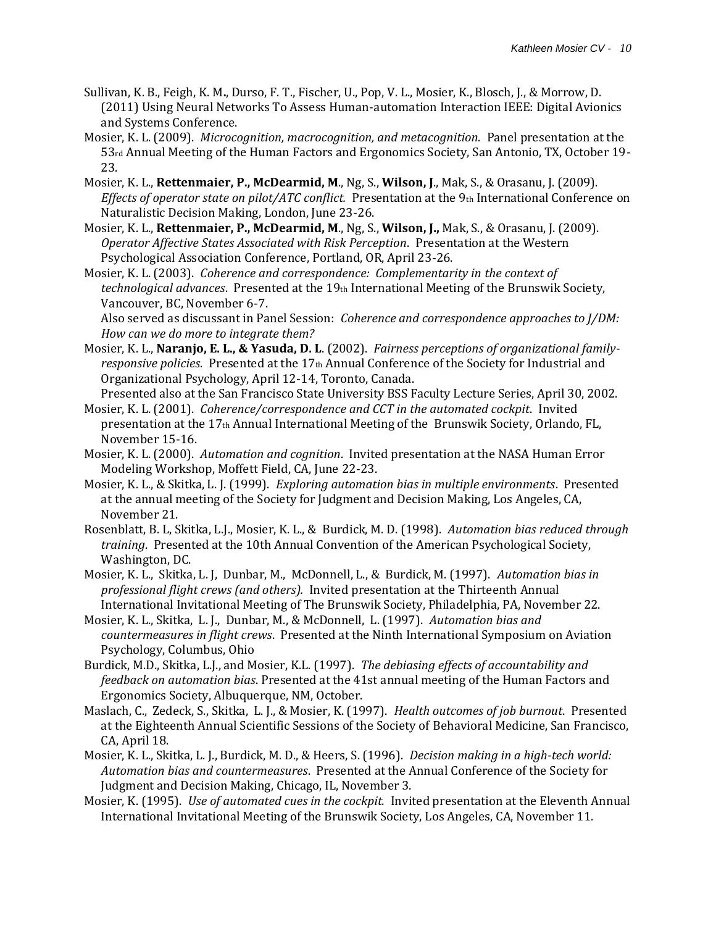- Sullivan, K. B., Feigh, K. M**.**, Durso, F. T., Fischer, U., Pop, V. L., Mosier, K., Blosch, J., & Morrow, D. (2011) Using Neural Networks To Assess Human-automation Interaction IEEE: Digital Avionics and Systems Conference.
- Mosier, K. L. (2009). *Microcognition, macrocognition, and metacognition.* Panel presentation at the 53rd Annual Meeting of the Human Factors and Ergonomics Society, San Antonio, TX, October 19- 23.
- Mosier, K. L., **Rettenmaier, P., McDearmid, M**., Ng, S., **Wilson, J**., Mak, S., & Orasanu, J. (2009). *Effects of operator state on pilot/ATC conflict.* Presentation at the 9th International Conference on Naturalistic Decision Making, London, June 23-26.
- Mosier, K. L., **Rettenmaier, P., McDearmid, M**., Ng, S., **Wilson, J.,** Mak, S., & Orasanu, J. (2009). *Operator Affective States Associated with Risk Perception*. Presentation at the Western Psychological Association Conference, Portland, OR, April 23-26.
- Mosier, K. L. (2003). *Coherence and correspondence: Complementarity in the context of technological advances*. Presented at the 19th International Meeting of the Brunswik Society, Vancouver, BC, November 6-7.

Also served as discussant in Panel Session: *Coherence and correspondence approaches to J/DM: How can we do more to integrate them?* 

Mosier, K. L., **Naranjo, E. L., & Yasuda, D. L**. (2002). *Fairness perceptions of organizational familyresponsive policies*. Presented at the 17th Annual Conference of the Society for Industrial and Organizational Psychology, April 12-14, Toronto, Canada.

Presented also at the San Francisco State University BSS Faculty Lecture Series, April 30, 2002.

- Mosier, K. L. (2001). *Coherence/correspondence and CCT in the automated cockpit*. Invited presentation at the 17th Annual International Meeting of the Brunswik Society, Orlando, FL, November 15-16.
- Mosier, K. L. (2000). *Automation and cognition*. Invited presentation at the NASA Human Error Modeling Workshop, Moffett Field, CA, June 22-23.
- Mosier, K. L., & Skitka, L. J. (1999). *Exploring automation bias in multiple environments*. Presented at the annual meeting of the Society for Judgment and Decision Making, Los Angeles, CA, November 21.
- Rosenblatt, B. L, Skitka, L.J., Mosier, K. L., & Burdick, M. D. (1998). *Automation bias reduced through training*. Presented at the 10th Annual Convention of the American Psychological Society, Washington, DC.
- Mosier, K. L., Skitka, L. J, Dunbar, M., McDonnell, L., & Burdick, M. (1997). *Automation bias in professional flight crews (and others).* Invited presentation at the Thirteenth Annual International Invitational Meeting of The Brunswik Society, Philadelphia, PA, November 22.
- Mosier, K. L., Skitka, L. J., Dunbar, M., & McDonnell, L. (1997). *Automation bias and countermeasures in flight crews*. Presented at the Ninth International Symposium on Aviation Psychology, Columbus, Ohio
- Burdick, M.D., Skitka, L.J., and Mosier, K.L. (1997). *The debiasing effects of accountability and feedback on automation bias*. Presented at the 41st annual meeting of the Human Factors and Ergonomics Society, Albuquerque, NM, October.
- Maslach, C., Zedeck, S., Skitka, L. J., & Mosier, K. (1997). *Health outcomes of job burnout*. Presented at the Eighteenth Annual Scientific Sessions of the Society of Behavioral Medicine, San Francisco, CA, April 18.
- Mosier, K. L., Skitka, L. J., Burdick, M. D., & Heers, S. (1996). *Decision making in a high-tech world: Automation bias and countermeasures*. Presented at the Annual Conference of the Society for Judgment and Decision Making, Chicago, IL, November 3.
- Mosier, K. (1995). *Use of automated cues in the cockpit.* Invited presentation at the Eleventh Annual International Invitational Meeting of the Brunswik Society, Los Angeles, CA, November 11.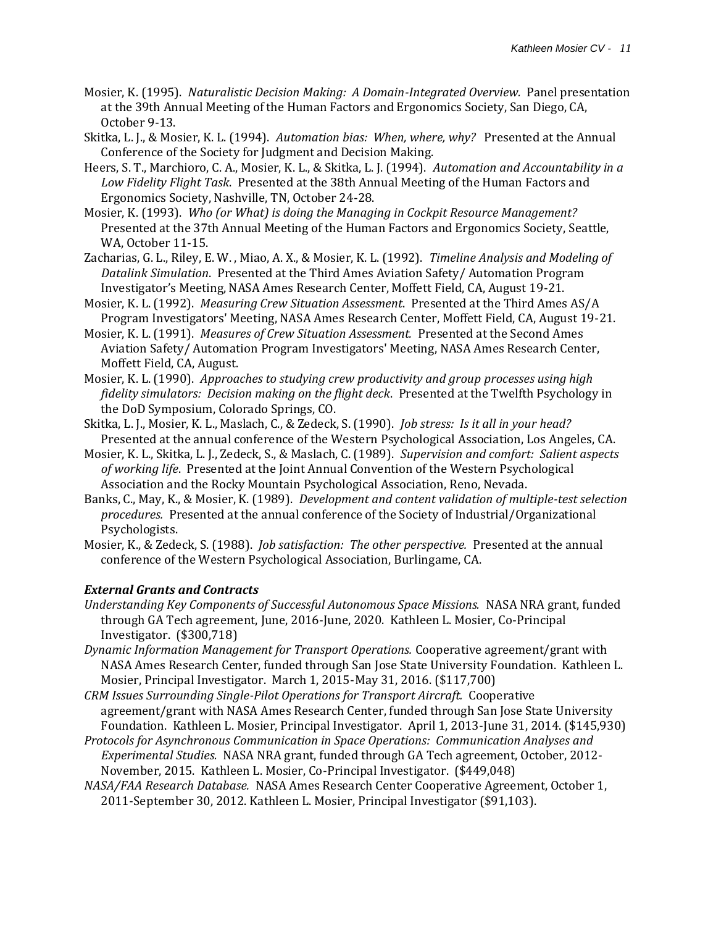- Mosier, K. (1995). *Naturalistic Decision Making: A Domain-Integrated Overview.* Panel presentation at the 39th Annual Meeting of the Human Factors and Ergonomics Society, San Diego, CA, October 9-13.
- Skitka, L. J., & Mosier, K. L. (1994). *Automation bias: When, where, why?* Presented at the Annual Conference of the Society for Judgment and Decision Making.
- Heers, S. T., Marchioro, C. A., Mosier, K. L., & Skitka, L. J. (1994). *Automation and Accountability in a Low Fidelity Flight Task*. Presented at the 38th Annual Meeting of the Human Factors and Ergonomics Society, Nashville, TN, October 24-28.
- Mosier, K. (1993). *Who (or What) is doing the Managing in Cockpit Resource Management?* Presented at the 37th Annual Meeting of the Human Factors and Ergonomics Society, Seattle, WA, October 11-15.
- Zacharias, G. L., Riley, E. W. , Miao, A. X., & Mosier, K. L. (1992). *Timeline Analysis and Modeling of Datalink Simulation*. Presented at the Third Ames Aviation Safety/ Automation Program Investigator's Meeting, NASA Ames Research Center, Moffett Field, CA, August 19-21.
- Mosier, K. L. (1992). *Measuring Crew Situation Assessment*. Presented at the Third Ames AS/A Program Investigators' Meeting, NASA Ames Research Center, Moffett Field, CA, August 19-21.
- Mosier, K. L. (1991). *Measures of Crew Situation Assessment.* Presented at the Second Ames Aviation Safety/ Automation Program Investigators' Meeting, NASA Ames Research Center, Moffett Field, CA, August.
- Mosier, K. L. (1990). *Approaches to studying crew productivity and group processes using high fidelity simulators: Decision making on the flight deck*. Presented at the Twelfth Psychology in the DoD Symposium, Colorado Springs, CO.
- Skitka, L. J., Mosier, K. L., Maslach, C., & Zedeck, S. (1990). *Job stress: Is it all in your head?* Presented at the annual conference of the Western Psychological Association, Los Angeles, CA.
- Mosier, K. L., Skitka, L. J., Zedeck, S., & Maslach, C. (1989). *Supervision and comfort: Salient aspects of working life*. Presented at the Joint Annual Convention of the Western Psychological Association and the Rocky Mountain Psychological Association, Reno, Nevada.
- Banks, C., May, K., & Mosier, K. (1989). *Development and content validation of multiple-test selection procedures.* Presented at the annual conference of the Society of Industrial/Organizational Psychologists.
- Mosier, K., & Zedeck, S. (1988). *Job satisfaction: The other perspective.* Presented at the annual conference of the Western Psychological Association, Burlingame, CA.

# *External Grants and Contracts*

- *Understanding Key Components of Successful Autonomous Space Missions.* NASA NRA grant, funded through GA Tech agreement, June, 2016-June, 2020. Kathleen L. Mosier, Co-Principal Investigator. (\$300,718)
- *Dynamic Information Management for Transport Operations.* Cooperative agreement/grant with NASA Ames Research Center, funded through San Jose State University Foundation. Kathleen L. Mosier, Principal Investigator. March 1, 2015-May 31, 2016. (\$117,700)
- *CRM Issues Surrounding Single-Pilot Operations for Transport Aircraft.* Cooperative agreement/grant with NASA Ames Research Center, funded through San Jose State University Foundation. Kathleen L. Mosier, Principal Investigator. April 1, 2013-June 31, 2014. (\$145,930)
- *Protocols for Asynchronous Communication in Space Operations: Communication Analyses and Experimental Studies.* NASA NRA grant, funded through GA Tech agreement, October, 2012- November, 2015. Kathleen L. Mosier, Co-Principal Investigator. (\$449,048)
- *NASA/FAA Research Database.* NASA Ames Research Center Cooperative Agreement, October 1, 2011-September 30, 2012. Kathleen L. Mosier, Principal Investigator (\$91,103).